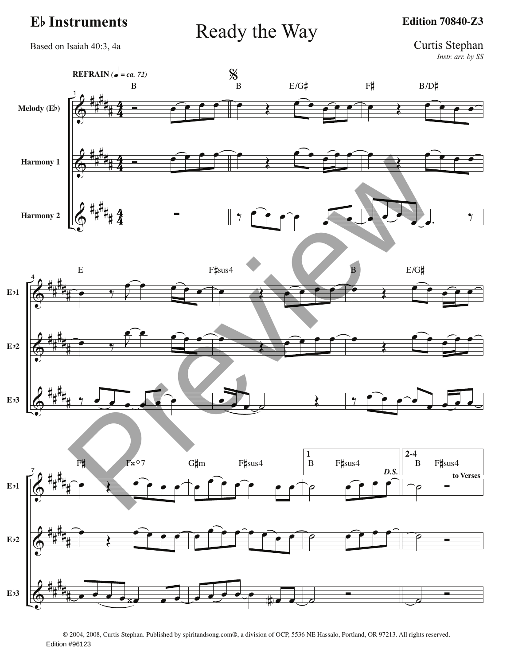Eb Instruments Ready the Way

**Edition 70840-Z3**

Based on Isaiah 40:3, 4a

Curtis Stephan *Instr. arr. by SS*



© 2004, 2008, Curtis Stephan. Published by spiritandsong.com®, a division of OCP, 5536 NE Hassalo, Portland, OR 97213. All rights reserved. Edition #96123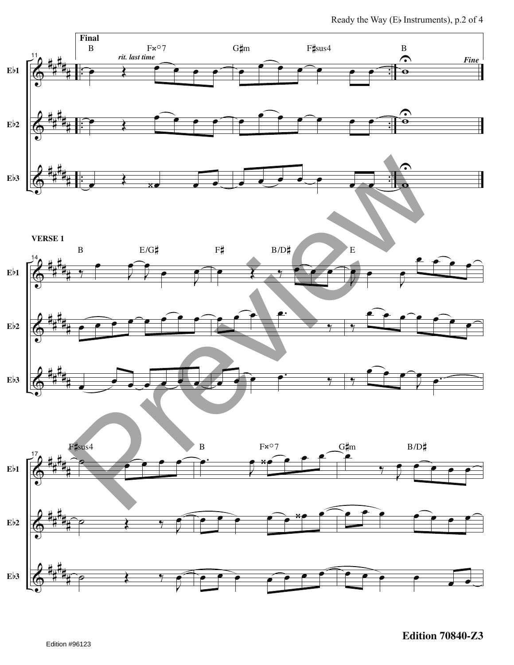Ready the Way (Eb Instruments), p.2 of 4

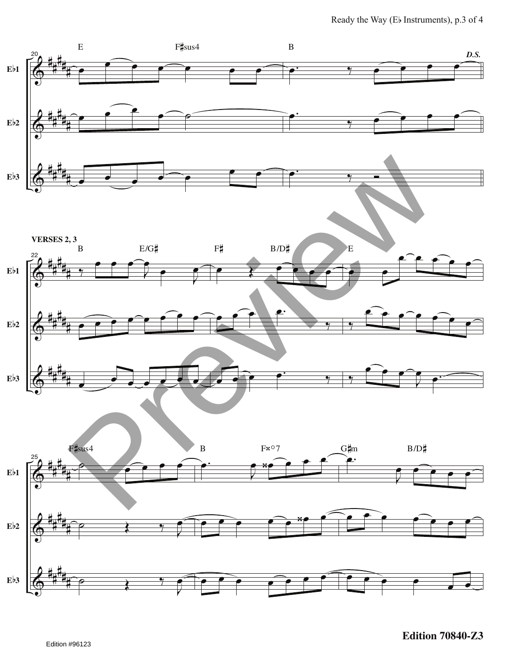Ready the Way (Eb Instruments), p.3 of 4